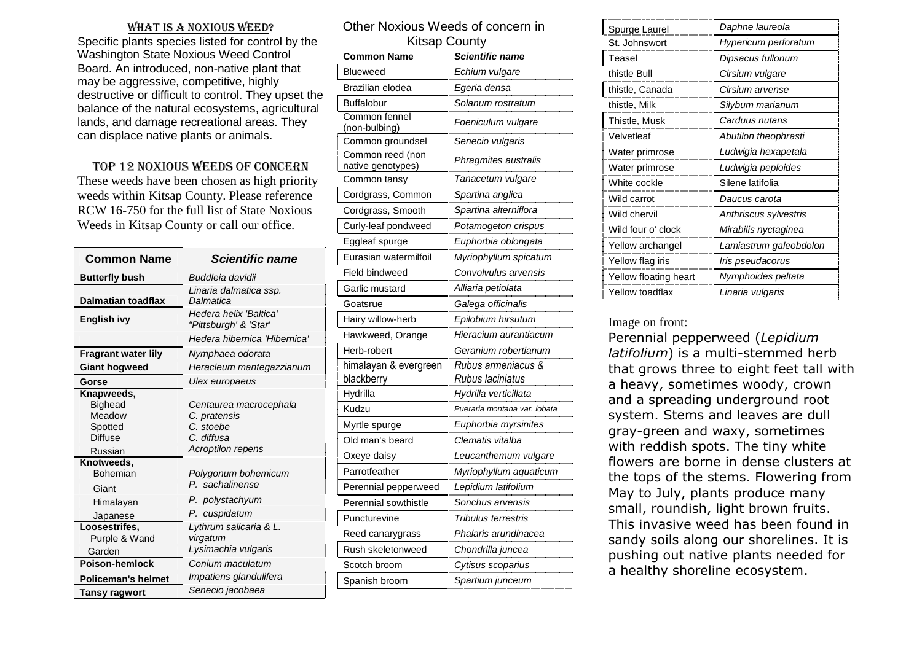#### WHAT IS A NOXIOUS WEED?

 Specific plants species listed for control by the Washington State Noxious Weed Control Board. An introduced, non-native plant that may be aggressive, competitive, highly destructive or difficult to control. They upset the balance of the natural ecosystems, agricultural lands, and damage recreational areas. They can displace native plants or animals.

### TOP 12 NOXIOUS WEEDS OF CONCERN

 These weeds have been chosen as high priority weeds within Kitsap County. Please reference RCW 16-750 for the full list of State Noxious Weeds in Kitsap County or call our office.

| <b>Common Name</b>                                                               | <i><b>Scientific name</b></i>                                                                        |
|----------------------------------------------------------------------------------|------------------------------------------------------------------------------------------------------|
| <b>Butterfly bush</b>                                                            | Buddleia davidii                                                                                     |
| Dalmatian toadflax                                                               | Linaria dalmatica ssp.<br>Dalmatica                                                                  |
| English ivy                                                                      | Hedera helix 'Baltica'<br>"Pittsburgh' & 'Star'                                                      |
|                                                                                  | Hedera hibernica 'Hibernica'                                                                         |
| <b>Fragrant water lily</b>                                                       | Nymphaea odorata                                                                                     |
| <b>Giant hogweed</b>                                                             | Heracleum mantegazzianum                                                                             |
| Gorse                                                                            | Ulex europaeus                                                                                       |
| Knapweeds,<br><b>Bighead</b><br>Meadow<br>Spotted<br>Diffuse<br>Russian          | Centaurea macrocephala<br>C. pratensis<br>C. stoebe<br>C. diffusa<br><b>Acroptilon repens</b>        |
| Knotweeds,<br><b>Bohemian</b><br>Giant<br>Himalayan<br>Japanese<br>Loosestrifes, | Polygonum bohemicum<br>P. sachalinense<br>P. polystachyum<br>P. cuspidatum<br>Lythrum salicaria & L. |
| Purple & Wand<br>Garden                                                          | virgatum<br>Lysimachia vulgaris                                                                      |
| Poison-hemlock                                                                   | Conium maculatum                                                                                     |
| <b>Policeman's helmet</b>                                                        | Impatiens glandulifera                                                                               |
| Tansy ragwort                                                                    | Senecio jacobaea                                                                                     |

| Other Noxious Weeds of concern in<br><b>Kitsap County</b> |                              |  |
|-----------------------------------------------------------|------------------------------|--|
| <b>Common Name</b>                                        | <b>Scientific name</b>       |  |
| <b>Blueweed</b>                                           |                              |  |
|                                                           | Echium vulgare               |  |
| Brazilian elodea                                          | Egeria densa                 |  |
| <b>Buffalobur</b><br>Common fennel                        | Solanum rostratum            |  |
| (non-bulbing)                                             | Foeniculum vulgare           |  |
| Common groundsel                                          | Senecio vulgaris             |  |
| Common reed (non<br>native genotypes)                     | Phragmites australis         |  |
| Common tansy                                              | Tanacetum vulgare            |  |
| Cordgrass, Common                                         | Spartina anglica             |  |
| Cordgrass, Smooth                                         | Spartina alterniflora        |  |
| Curly-leaf pondweed                                       | Potamogeton crispus          |  |
| Eggleaf spurge                                            | Euphorbia oblongata          |  |
| Eurasian watermilfoil                                     | Myriophyllum spicatum        |  |
| Field bindweed                                            | Convolvulus arvensis         |  |
| Garlic mustard                                            | Alliaria petiolata           |  |
| Goatsrue                                                  | Galega officinalis           |  |
| Hairy willow-herb                                         | Epilobium hirsutum           |  |
| Hawkweed, Orange                                          | Hieracium aurantiacum        |  |
| Herb-robert                                               | Geranium robertianum         |  |
| himalayan & evergreen                                     | Rubus armeniacus &           |  |
| blackberry                                                | Rubus Iaciniatus             |  |
| Hydrilla                                                  | Hydrilla verticillata        |  |
| Kudzu                                                     | Pueraria montana var. lobata |  |
| Myrtle spurge                                             | Euphorbia myrsinites         |  |
| Old man's beard                                           | Clematis vitalba             |  |
| Oxeye daisy                                               | Leucanthemum vulgare         |  |
| Parrotfeather                                             | Myriophyllum aquaticum       |  |
| Perennial pepperweed                                      | Lepidium latifolium          |  |
| Perennial sowthistle                                      | Sonchus arvensis             |  |
| Puncturevine                                              | Tribulus terrestris          |  |
| Reed canarygrass                                          | Phalaris arundinacea         |  |
| Rush skeletonweed                                         | Chondrilla juncea            |  |
| Scotch broom                                              | Cytisus scoparius            |  |
| Spanish broom                                             | Spartium junceum             |  |

| Spurge Laurel         | Daphne laureola         |
|-----------------------|-------------------------|
| St. Johnswort         | Hypericum perforatum    |
| Teasel                | Dipsacus fullonum       |
| thistle Bull          | Cirsium vulgare         |
| thistle, Canada       | Cirsium arvense         |
| thistle, Milk         | Silybum marianum        |
| Thistle, Musk         | Carduus nutans          |
| Velvetleaf            | Abutilon theophrasti    |
| Water primrose        | Ludwigia hexapetala     |
| Water primrose        | Ludwigia peploides      |
| White cockle          | Silene latifolia        |
| Wild carrot           | Daucus carota           |
| Wild chervil          | Anthriscus sylvestris   |
| Wild four o' clock    | Mirabilis nyctaginea    |
| Yellow archangel      | Lamiastrum galeobdolon  |
| Yellow flag iris      | <i>Iris pseudacorus</i> |
| Yellow floating heart | Nymphoides peltata      |
| Yellow toadflax       | Linaria vulgaris        |

#### Image on front:

 Perennial pepperweed (*Lepidium latifolium*) is a multi-stemmed herb that grows three to eight feet tall with a heavy, sometimes woody, crown and a spreading underground root system. Stems and leaves are dull gray-green and waxy, sometimes with reddish spots. The tiny white flowers are borne in dense clusters at the tops of the stems. Flowering from May to July, plants produce many small, roundish, light brown fruits. This invasive weed has been found in sandy soils along our shorelines. It is pushing out native plants needed for a healthy shoreline ecosystem.